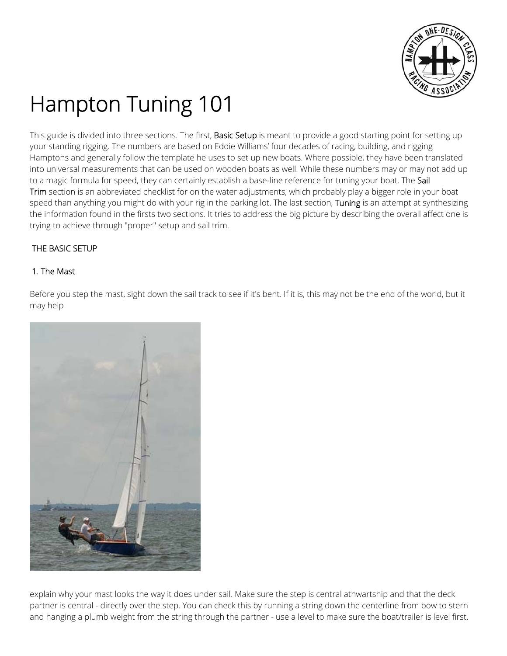

# Hampton Tuning 101

This guide is divided into three sections. The first, **Basic Setup** is meant to provide a good starting point for setting up your standing rigging. The numbers are based on Eddie Williams' four decades of racing, building, and rigging Hamptons and generally follow the template he uses to set up new boats. Where possible, they have been translated into universal measurements that can be used on wooden boats as well. While these numbers may or may not add up to a magic formula for speed, they can certainly establish a base-line reference for tuning your boat. The Sail Trim section is an abbreviated checklist for on the water adjustments, which probably play a bigger role in your boat speed than anything you might do with your rig in the parking lot. The last section, Tuning is an attempt at synthesizing the information found in the firsts two sections. It tries to address the big picture by describing the overall affect one is trying to achieve through "proper" setup and sail trim.

# THE BASIC SETUP

## 1. The Mast

Before you step the mast, sight down the sail track to see if it's bent. If it is, this may not be the end of the world, but it may help



explain why your mast looks the way it does under sail. Make sure the step is central athwartship and that the deck partner is central - directly over the step. You can check this by running a string down the centerline from bow to stern and hanging a plumb weight from the string through the partner - use a level to make sure the boat/trailer is level first.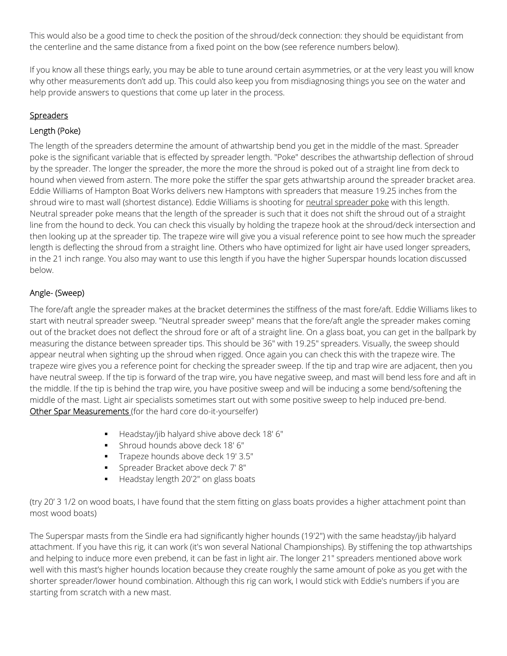This would also be a good time to check the position of the shroud/deck connection: they should be equidistant from the centerline and the same distance from a fixed point on the bow (see reference numbers below).

If you know all these things early, you may be able to tune around certain asymmetries, or at the very least you will know why other measurements don't add up. This could also keep you from misdiagnosing things you see on the water and help provide answers to questions that come up later in the process.

# **Spreaders**

## Length (Poke)

The length of the spreaders determine the amount of athwartship bend you get in the middle of the mast. Spreader poke is the significant variable that is effected by spreader length. "Poke" describes the athwartship deflection of shroud by the spreader. The longer the spreader, the more the more the shroud is poked out of a straight line from deck to hound when viewed from astern. The more poke the stiffer the spar gets athwartship around the spreader bracket area. Eddie Williams of Hampton Boat Works delivers new Hamptons with spreaders that measure 19.25 inches from the shroud wire to mast wall (shortest distance). Eddie Williams is shooting for neutral spreader poke with this length. Neutral spreader poke means that the length of the spreader is such that it does not shift the shroud out of a straight line from the hound to deck. You can check this visually by holding the trapeze hook at the shroud/deck intersection and then looking up at the spreader tip. The trapeze wire will give you a visual reference point to see how much the spreader length is deflecting the shroud from a straight line. Others who have optimized for light air have used longer spreaders, in the 21 inch range. You also may want to use this length if you have the higher Superspar hounds location discussed below.

# Angle- (Sweep)

The fore/aft angle the spreader makes at the bracket determines the stiffness of the mast fore/aft. Eddie Williams likes to start with neutral spreader sweep. "Neutral spreader sweep" means that the fore/aft angle the spreader makes coming out of the bracket does not deflect the shroud fore or aft of a straight line. On a glass boat, you can get in the ballpark by measuring the distance between spreader tips. This should be 36" with 19.25" spreaders. Visually, the sweep should appear neutral when sighting up the shroud when rigged. Once again you can check this with the trapeze wire. The trapeze wire gives you a reference point for checking the spreader sweep. If the tip and trap wire are adjacent, then you have neutral sweep. If the tip is forward of the trap wire, you have negative sweep, and mast will bend less fore and aft in the middle. If the tip is behind the trap wire, you have positive sweep and will be inducing a some bend/softening the middle of the mast. Light air specialists sometimes start out with some positive sweep to help induced pre-bend. Other Spar Measurements (for the hard core do-it-yourselfer)

- Headstay/jib halyard shive above deck 18' 6"
- **Shroud hounds above deck 18' 6"**
- Trapeze hounds above deck 19' 3.5"
- **Spreader Bracket above deck 7' 8"**
- Headstay length 20'2" on glass boats

(try 20' 3 1/2 on wood boats, I have found that the stem fitting on glass boats provides a higher attachment point than most wood boats)

The Superspar masts from the Sindle era had significantly higher hounds (19'2") with the same headstay/jib halyard attachment. If you have this rig, it can work (it's won several National Championships). By stiffening the top athwartships and helping to induce more even prebend, it can be fast in light air. The longer 21" spreaders mentioned above work well with this mast's higher hounds location because they create roughly the same amount of poke as you get with the shorter spreader/lower hound combination. Although this rig can work, I would stick with Eddie's numbers if you are starting from scratch with a new mast.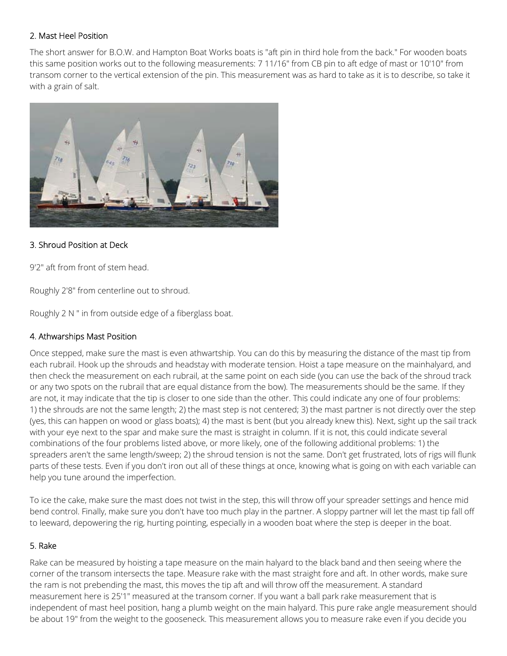#### 2. Mast Heel Position

The short answer for B.O.W. and Hampton Boat Works boats is "aft pin in third hole from the back." For wooden boats this same position works out to the following measurements: 7 11/16" from CB pin to aft edge of mast or 10'10" from transom corner to the vertical extension of the pin. This measurement was as hard to take as it is to describe, so take it with a grain of salt.



#### 3. Shroud Position at Deck

9'2" aft from front of stem head.

Roughly 2'8" from centerline out to shroud.

Roughly 2 N " in from outside edge of a fiberglass boat.

#### 4. Athwarships Mast Position

Once stepped, make sure the mast is even athwartship. You can do this by measuring the distance of the mast tip from each rubrail. Hook up the shrouds and headstay with moderate tension. Hoist a tape measure on the mainhalyard, and then check the measurement on each rubrail, at the same point on each side (you can use the back of the shroud track or any two spots on the rubrail that are equal distance from the bow). The measurements should be the same. If they are not, it may indicate that the tip is closer to one side than the other. This could indicate any one of four problems: 1) the shrouds are not the same length; 2) the mast step is not centered; 3) the mast partner is not directly over the step (yes, this can happen on wood or glass boats); 4) the mast is bent (but you already knew this). Next, sight up the sail track with your eye next to the spar and make sure the mast is straight in column. If it is not, this could indicate several combinations of the four problems listed above, or more likely, one of the following additional problems: 1) the spreaders aren't the same length/sweep; 2) the shroud tension is not the same. Don't get frustrated, lots of rigs will flunk parts of these tests. Even if you don't iron out all of these things at once, knowing what is going on with each variable can help you tune around the imperfection.

To ice the cake, make sure the mast does not twist in the step, this will throw off your spreader settings and hence mid bend control. Finally, make sure you don't have too much play in the partner. A sloppy partner will let the mast tip fall off to leeward, depowering the rig, hurting pointing, especially in a wooden boat where the step is deeper in the boat.

#### 5. Rake

Rake can be measured by hoisting a tape measure on the main halyard to the black band and then seeing where the corner of the transom intersects the tape. Measure rake with the mast straight fore and aft. In other words, make sure the ram is not prebending the mast, this moves the tip aft and will throw off the measurement. A standard measurement here is 25'1" measured at the transom corner. If you want a ball park rake measurement that is independent of mast heel position, hang a plumb weight on the main halyard. This pure rake angle measurement should be about 19" from the weight to the gooseneck. This measurement allows you to measure rake even if you decide you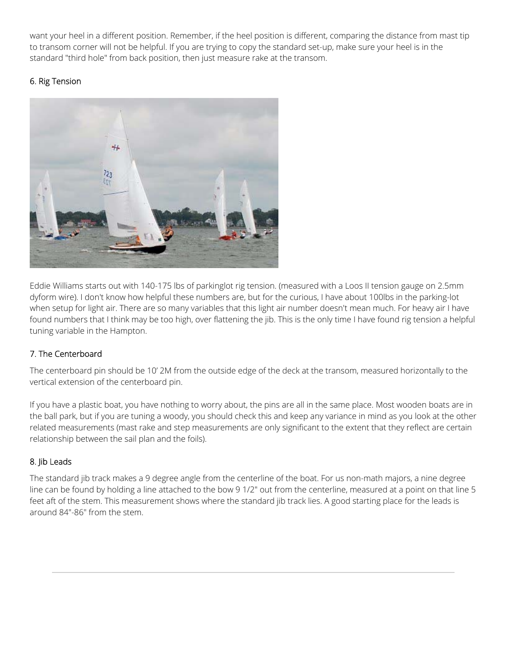want your heel in a different position. Remember, if the heel position is different, comparing the distance from mast tip to transom corner will not be helpful. If you are trying to copy the standard set-up, make sure your heel is in the standard "third hole" from back position, then just measure rake at the transom.

# 6. Rig Tension



Eddie Williams starts out with 140-175 lbs of parkinglot rig tension. (measured with a Loos II tension gauge on 2.5mm dyform wire). I don't know how helpful these numbers are, but for the curious, I have about 100lbs in the parking-lot when setup for light air. There are so many variables that this light air number doesn't mean much. For heavy air I have found numbers that I think may be too high, over flattening the jib. This is the only time I have found rig tension a helpful tuning variable in the Hampton.

## 7. The Centerboard

The centerboard pin should be 10' 2M from the outside edge of the deck at the transom, measured horizontally to the vertical extension of the centerboard pin.

If you have a plastic boat, you have nothing to worry about, the pins are all in the same place. Most wooden boats are in the ball park, but if you are tuning a woody, you should check this and keep any variance in mind as you look at the other related measurements (mast rake and step measurements are only significant to the extent that they reflect are certain relationship between the sail plan and the foils).

## 8. Jib Leads

The standard jib track makes a 9 degree angle from the centerline of the boat. For us non-math majors, a nine degree line can be found by holding a line attached to the bow 9 1/2" out from the centerline, measured at a point on that line 5 feet aft of the stem. This measurement shows where the standard jib track lies. A good starting place for the leads is around 84"-86" from the stem.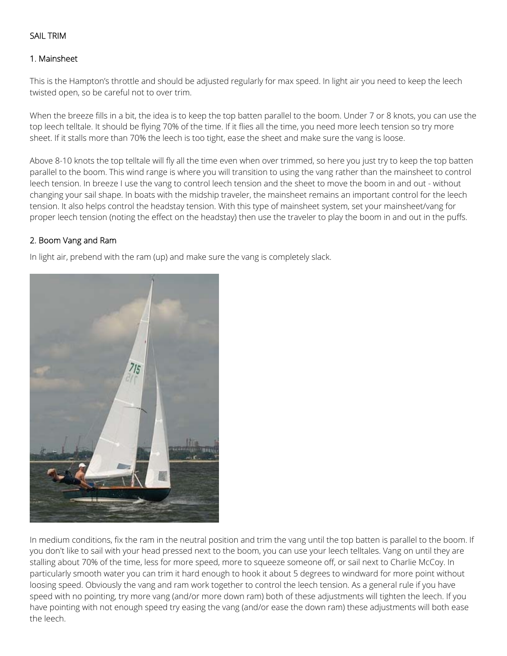#### SAIL TRIM

#### 1. Mainsheet

This is the Hampton's throttle and should be adjusted regularly for max speed. In light air you need to keep the leech twisted open, so be careful not to over trim.

When the breeze fills in a bit, the idea is to keep the top batten parallel to the boom. Under 7 or 8 knots, you can use the top leech telltale. It should be flying 70% of the time. If it flies all the time, you need more leech tension so try more sheet. If it stalls more than 70% the leech is too tight, ease the sheet and make sure the vang is loose.

Above 8-10 knots the top telltale will fly all the time even when over trimmed, so here you just try to keep the top batten parallel to the boom. This wind range is where you will transition to using the vang rather than the mainsheet to control leech tension. In breeze I use the vang to control leech tension and the sheet to move the boom in and out - without changing your sail shape. In boats with the midship traveler, the mainsheet remains an important control for the leech tension. It also helps control the headstay tension. With this type of mainsheet system, set your mainsheet/vang for proper leech tension (noting the effect on the headstay) then use the traveler to play the boom in and out in the puffs.

#### 2. Boom Vang and Ram

In light air, prebend with the ram (up) and make sure the vang is completely slack.



In medium conditions, fix the ram in the neutral position and trim the vang until the top batten is parallel to the boom. If you don't like to sail with your head pressed next to the boom, you can use your leech telltales. Vang on until they are stalling about 70% of the time, less for more speed, more to squeeze someone off, or sail next to Charlie McCoy. In particularly smooth water you can trim it hard enough to hook it about 5 degrees to windward for more point without loosing speed. Obviously the vang and ram work together to control the leech tension. As a general rule if you have speed with no pointing, try more vang (and/or more down ram) both of these adjustments will tighten the leech. If you have pointing with not enough speed try easing the vang (and/or ease the down ram) these adjustments will both ease the leech.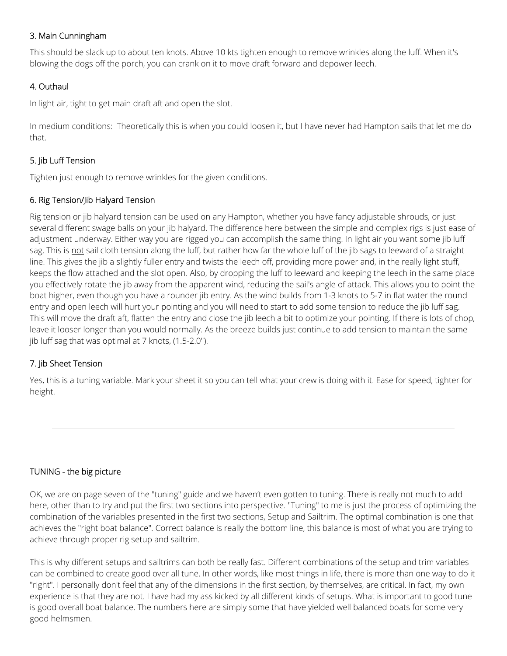## 3. Main Cunningham

This should be slack up to about ten knots. Above 10 kts tighten enough to remove wrinkles along the luff. When it's blowing the dogs off the porch, you can crank on it to move draft forward and depower leech.

## 4. Outhaul

In light air, tight to get main draft aft and open the slot.

In medium conditions: Theoretically this is when you could loosen it, but I have never had Hampton sails that let me do that.

## 5. Jib Luff Tension

Tighten just enough to remove wrinkles for the given conditions.

#### 6. Rig Tension/Jib Halyard Tension

Rig tension or jib halyard tension can be used on any Hampton, whether you have fancy adjustable shrouds, or just several different swage balls on your jib halyard. The difference here between the simple and complex rigs is just ease of adjustment underway. Either way you are rigged you can accomplish the same thing. In light air you want some jib luff sag. This is not sail cloth tension along the luff, but rather how far the whole luff of the jib sags to leeward of a straight line. This gives the jib a slightly fuller entry and twists the leech off, providing more power and, in the really light stuff, keeps the flow attached and the slot open. Also, by dropping the luff to leeward and keeping the leech in the same place you effectively rotate the jib away from the apparent wind, reducing the sail's angle of attack. This allows you to point the boat higher, even though you have a rounder jib entry. As the wind builds from 1-3 knots to 5-7 in flat water the round entry and open leech will hurt your pointing and you will need to start to add some tension to reduce the jib luff sag. This will move the draft aft, flatten the entry and close the jib leech a bit to optimize your pointing. If there is lots of chop, leave it looser longer than you would normally. As the breeze builds just continue to add tension to maintain the same jib luff sag that was optimal at 7 knots, (1.5-2.0").

## 7. Jib Sheet Tension

Yes, this is a tuning variable. Mark your sheet it so you can tell what your crew is doing with it. Ease for speed, tighter for height.

## TUNING - the big picture

OK, we are on page seven of the "tuning" guide and we haven't even gotten to tuning. There is really not much to add here, other than to try and put the first two sections into perspective. "Tuning" to me is just the process of optimizing the combination of the variables presented in the first two sections, Setup and Sailtrim. The optimal combination is one that achieves the "right boat balance". Correct balance is really the bottom line, this balance is most of what you are trying to achieve through proper rig setup and sailtrim.

This is why different setups and sailtrims can both be really fast. Different combinations of the setup and trim variables can be combined to create good over all tune. In other words, like most things in life, there is more than one way to do it "right". I personally don't feel that any of the dimensions in the first section, by themselves, are critical. In fact, my own experience is that they are not. I have had my ass kicked by all different kinds of setups. What is important to good tune is good overall boat balance. The numbers here are simply some that have yielded well balanced boats for some very good helmsmen.